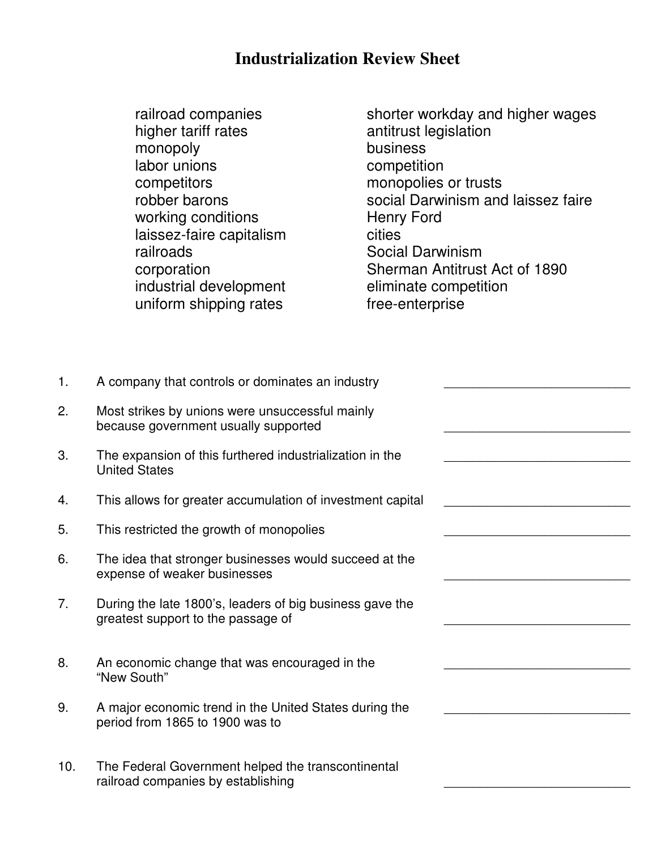## **Industrialization Review Sheet**

monopoly business labor unions competition competitors monopolies or trusts working conditions **Henry Ford** laissez-faire capitalism cities railroads **Social Darwinism** industrial development uniform shipping rates free-enterprise

railroad companies<br>higher tariff rates shorter workday and higher wages<br>antitrust legislation antitrust legislation robber barons social Darwinism and laissez faire corporation<br>
industrial development<br>  $\begin{array}{ccc}\n\text{Sherman Antitrust Act of } 1890 \\
\text{eliminate competition}\n\end{array}$ 

| 1.  | A company that controls or dominates an industry                                               |  |
|-----|------------------------------------------------------------------------------------------------|--|
| 2.  | Most strikes by unions were unsuccessful mainly<br>because government usually supported        |  |
| 3.  | The expansion of this furthered industrialization in the<br><b>United States</b>               |  |
| 4.  | This allows for greater accumulation of investment capital                                     |  |
| 5.  | This restricted the growth of monopolies                                                       |  |
| 6.  | The idea that stronger businesses would succeed at the<br>expense of weaker businesses         |  |
| 7.  | During the late 1800's, leaders of big business gave the<br>greatest support to the passage of |  |
| 8.  | An economic change that was encouraged in the<br>"New South"                                   |  |
| 9.  | A major economic trend in the United States during the<br>period from 1865 to 1900 was to      |  |
| 10. | The Federal Government helped the transcontinental<br>railroad companies by establishing       |  |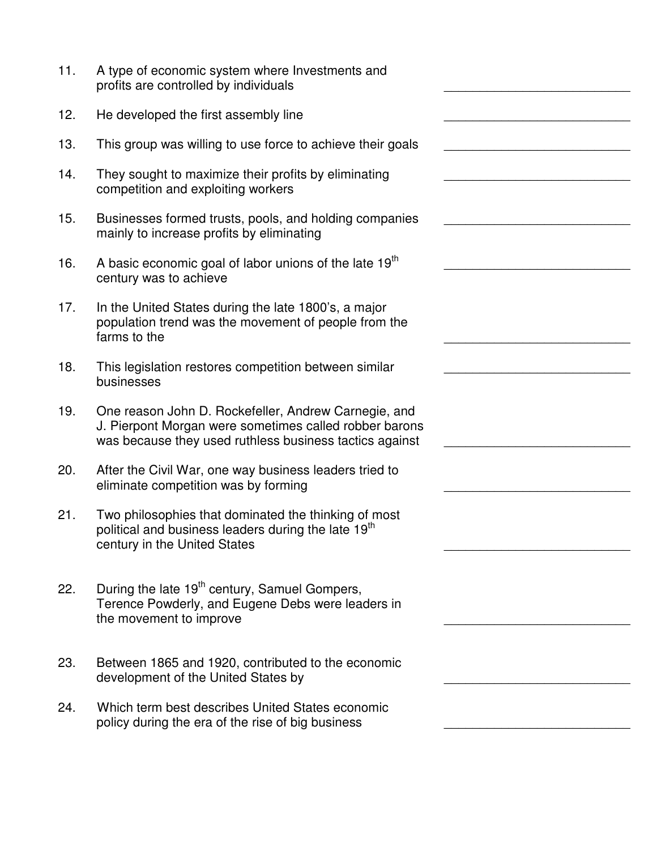| 11. | A type of economic system where Investments and<br>profits are controlled by individuals                                                                                  |  |
|-----|---------------------------------------------------------------------------------------------------------------------------------------------------------------------------|--|
| 12. | He developed the first assembly line                                                                                                                                      |  |
| 13. | This group was willing to use force to achieve their goals                                                                                                                |  |
| 14. | They sought to maximize their profits by eliminating<br>competition and exploiting workers                                                                                |  |
| 15. | Businesses formed trusts, pools, and holding companies<br>mainly to increase profits by eliminating                                                                       |  |
| 16. | A basic economic goal of labor unions of the late 19 <sup>th</sup><br>century was to achieve                                                                              |  |
| 17. | In the United States during the late 1800's, a major<br>population trend was the movement of people from the<br>farms to the                                              |  |
| 18. | This legislation restores competition between similar<br>businesses                                                                                                       |  |
| 19. | One reason John D. Rockefeller, Andrew Carnegie, and<br>J. Pierpont Morgan were sometimes called robber barons<br>was because they used ruthless business tactics against |  |
| 20. | After the Civil War, one way business leaders tried to<br>eliminate competition was by forming                                                                            |  |
| 21. | Two philosophies that dominated the thinking of most<br>political and business leaders during the late 19 <sup>th</sup><br>century in the United States                   |  |
| 22. | During the late 19 <sup>th</sup> century, Samuel Gompers,<br>Terence Powderly, and Eugene Debs were leaders in<br>the movement to improve                                 |  |
| 23. | Between 1865 and 1920, contributed to the economic<br>development of the United States by                                                                                 |  |
| 24. | Which term best describes United States economic<br>policy during the era of the rise of big business                                                                     |  |